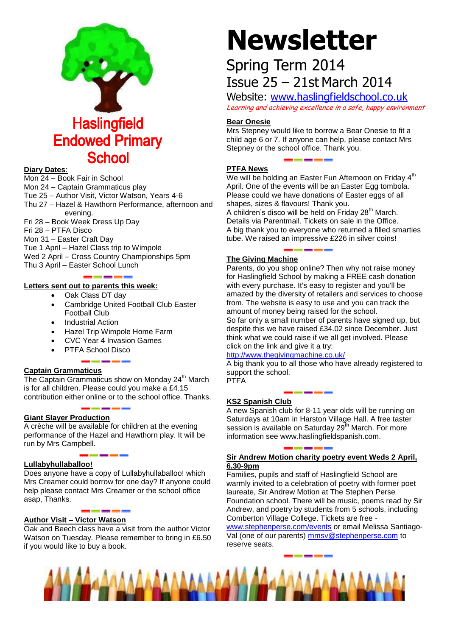

#### **Diary Dates**:

Mon 24 – Book Fair in School Mon 24 – Captain Grammaticus play Tue 25 – Author Visit, Victor Watson, Years 4-6 Thu 27 – Hazel & Hawthorn Performance, afternoon and evening. Fri 28 – Book Week Dress Up Day Fri 28 – PTFA Disco

Mon 31 – Easter Craft Day

Tue 1 April – Hazel Class trip to Wimpole

Wed 2 April – Cross Country Championships 5pm Thu 3 April – Easter School Lunch

### **Letters sent out to parents this week:**

- Oak Class DT day
- Cambridge United Football Club Easter Football Club
- Industrial Action
- Hazel Trip Wimpole Home Farm

- CVC Year 4 Invasion Games
- PTFA School Disco

#### **Captain Grammaticus**

The Captain Grammaticus show on Monday  $24<sup>th</sup>$  March is for all children. Please could you make a £4.15 contribution either online or to the school office. Thanks.

#### **Giant Slayer Production**

A crèche will be available for children at the evening performance of the Hazel and Hawthorn play. It will be run by Mrs Campbell.

# **Lullabyhullaballoo!**

Does anyone have a copy of Lullabyhullaballoo! which Mrs Creamer could borrow for one day? If anyone could help please contact Mrs Creamer or the school office asap, Thanks.

# **Author Visit – Victor Watson**

Oak and Beech class have a visit from the author Victor Watson on Tuesday. Please remember to bring in £6.50 if you would like to buy a book.

# **Newsletter**

# Spring Term 2014 Issue 25 – 21st March 2014

Website: [www.haslingfieldschool.co.uk](http://www.haslingfieldschool.co.uk/) Learning and achieving excellence in a safe, happy environment

# **Bear Onesie**

Mrs Stepney would like to borrow a Bear Onesie to fit a child age 6 or 7. If anyone can help, please contact Mrs Stepney or the school office. Thank you.

# **PTFA News**

We will be holding an Easter Fun Afternoon on Friday  $4<sup>th</sup>$ April. One of the events will be an Easter Egg tombola. Please could we have donations of Easter eggs of all shapes, sizes & flavours! Thank you.

A children's disco will be held on Friday 28<sup>th</sup> March. Details via Parentmail. Tickets on sale in the Office. A big thank you to everyone who returned a filled smarties tube. We raised an impressive £226 in silver coins!

# **The Giving Machine**

Parents, do you shop online? Then why not raise money for Haslingfield School by making a FREE cash donation with every purchase. It's easy to register and you'll be amazed by the diversity of retailers and services to choose from. The website is easy to use and you can track the amount of money being raised for the school. So far only a small number of parents have signed up, but despite this we have raised £34.02 since December. Just think what we could raise if we all get involved. Please click on the link and give it a try:

# <http://www.thegivingmachine.co.uk/>

A big thank you to all those who have already registered to support the school. PTFA

# **KS2 Spanish Club**

A new Spanish club for 8-11 year olds will be running on Saturdays at 10am in Harston Village Hall. A free taster session is available on Saturday 29<sup>th</sup> March. For more information see www.haslingfieldspanish.com.

#### **Sir Andrew Motion charity poetry event Weds 2 April, 6.30-9pm**

Families, pupils and staff of Haslingfield School are warmly invited to a celebration of poetry with former poet laureate, Sir Andrew Motion at The Stephen Perse Foundation school. There will be music, poems read by Sir Andrew, and poetry by students from 5 schools, including Comberton Village College. Tickets are free -

[www.stephenperse.com/events](http://www.stephenperse.com/events) or email Melissa Santiago-Val (one of our parents) [mmsv@stephenperse.com](mailto:mmsv@stephenperse.com) to reserve seats.